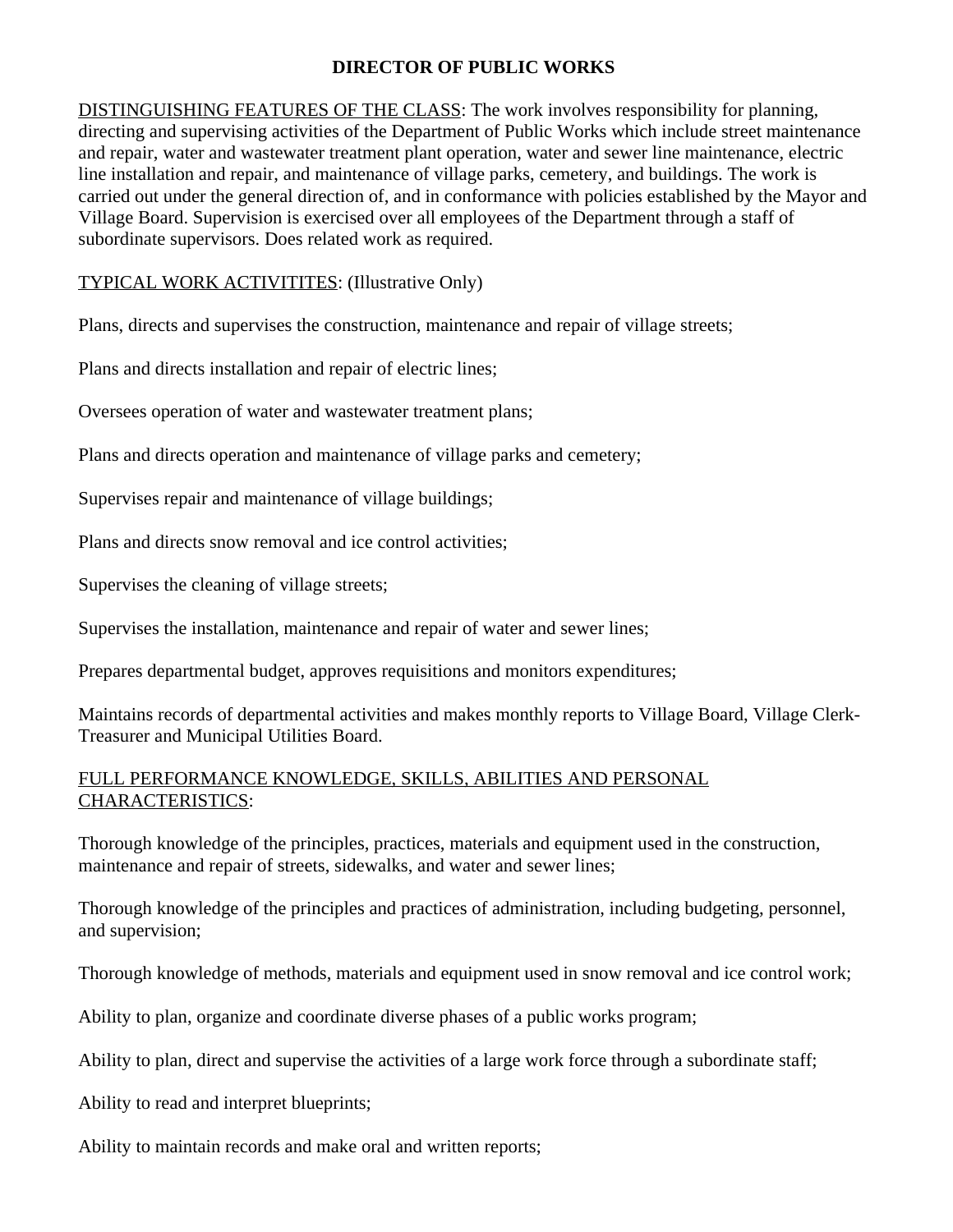## **DIRECTOR OF PUBLIC WORKS**

DISTINGUISHING FEATURES OF THE CLASS: The work involves responsibility for planning, directing and supervising activities of the Department of Public Works which include street maintenance and repair, water and wastewater treatment plant operation, water and sewer line maintenance, electric line installation and repair, and maintenance of village parks, cemetery, and buildings. The work is carried out under the general direction of, and in conformance with policies established by the Mayor and Village Board. Supervision is exercised over all employees of the Department through a staff of subordinate supervisors. Does related work as required.

## TYPICAL WORK ACTIVITITES: (Illustrative Only)

Plans, directs and supervises the construction, maintenance and repair of village streets;

Plans and directs installation and repair of electric lines;

Oversees operation of water and wastewater treatment plans;

Plans and directs operation and maintenance of village parks and cemetery;

Supervises repair and maintenance of village buildings;

Plans and directs snow removal and ice control activities;

Supervises the cleaning of village streets;

Supervises the installation, maintenance and repair of water and sewer lines;

Prepares departmental budget, approves requisitions and monitors expenditures;

Maintains records of departmental activities and makes monthly reports to Village Board, Village Clerk-Treasurer and Municipal Utilities Board.

## FULL PERFORMANCE KNOWLEDGE, SKILLS, ABILITIES AND PERSONAL CHARACTERISTICS:

Thorough knowledge of the principles, practices, materials and equipment used in the construction, maintenance and repair of streets, sidewalks, and water and sewer lines;

Thorough knowledge of the principles and practices of administration, including budgeting, personnel, and supervision;

Thorough knowledge of methods, materials and equipment used in snow removal and ice control work;

Ability to plan, organize and coordinate diverse phases of a public works program;

Ability to plan, direct and supervise the activities of a large work force through a subordinate staff;

Ability to read and interpret blueprints;

Ability to maintain records and make oral and written reports;